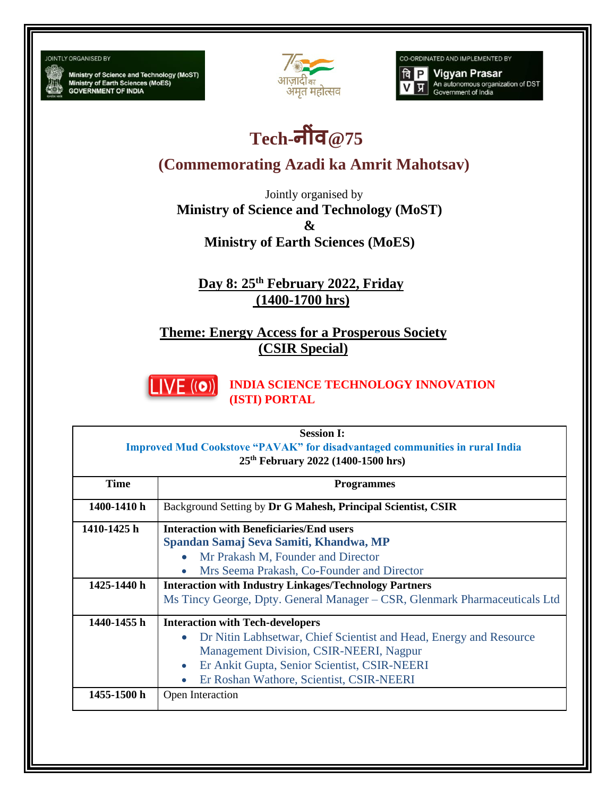## **JOINTLY ORGANISED BY**

Ministry of Science and Technology (MoST)<br>Ministry of Earth Sciences (MoES)<br>GOVERNMENT OF INDIA



CO-ORDINATED AND IMPLEMENTED BY



## **Tech-न ींव@75**

**(Commemorating Azadi ka Amrit Mahotsav)**

Jointly organised by **Ministry of Science and Technology (MoST) & Ministry of Earth Sciences (MoES)**

**Day 8: 25th February 2022, Friday (1400-1700 hrs)**

**Theme: Energy Access for a Prosperous Society (CSIR Special)**



**INDIA SCIENCE TECHNOLOGY INNOVATION (ISTI) PORTAL**

| <b>Session I:</b>                                                                  |                                                                            |  |
|------------------------------------------------------------------------------------|----------------------------------------------------------------------------|--|
| <b>Improved Mud Cookstove "PAVAK" for disadvantaged communities in rural India</b> |                                                                            |  |
| 25 <sup>th</sup> February 2022 (1400-1500 hrs)                                     |                                                                            |  |
| <b>Time</b>                                                                        | <b>Programmes</b>                                                          |  |
| 1400-1410 h                                                                        | Background Setting by Dr G Mahesh, Principal Scientist, CSIR               |  |
| 1410-1425 h                                                                        | <b>Interaction with Beneficiaries/End users</b>                            |  |
|                                                                                    | Spandan Samaj Seva Samiti, Khandwa, MP                                     |  |
|                                                                                    | Mr Prakash M, Founder and Director                                         |  |
|                                                                                    | Mrs Seema Prakash, Co-Founder and Director                                 |  |
| 1425-1440 h                                                                        | <b>Interaction with Industry Linkages/Technology Partners</b>              |  |
|                                                                                    | Ms Tincy George, Dpty. General Manager – CSR, Glenmark Pharmaceuticals Ltd |  |
| 1440-1455 h                                                                        | <b>Interaction with Tech-developers</b>                                    |  |
|                                                                                    | Dr Nitin Labhsetwar, Chief Scientist and Head, Energy and Resource         |  |
|                                                                                    | Management Division, CSIR-NEERI, Nagpur                                    |  |
|                                                                                    | Er Ankit Gupta, Senior Scientist, CSIR-NEERI                               |  |
|                                                                                    | Er Roshan Wathore, Scientist, CSIR-NEERI                                   |  |
| 1455-1500 h                                                                        | Open Interaction                                                           |  |